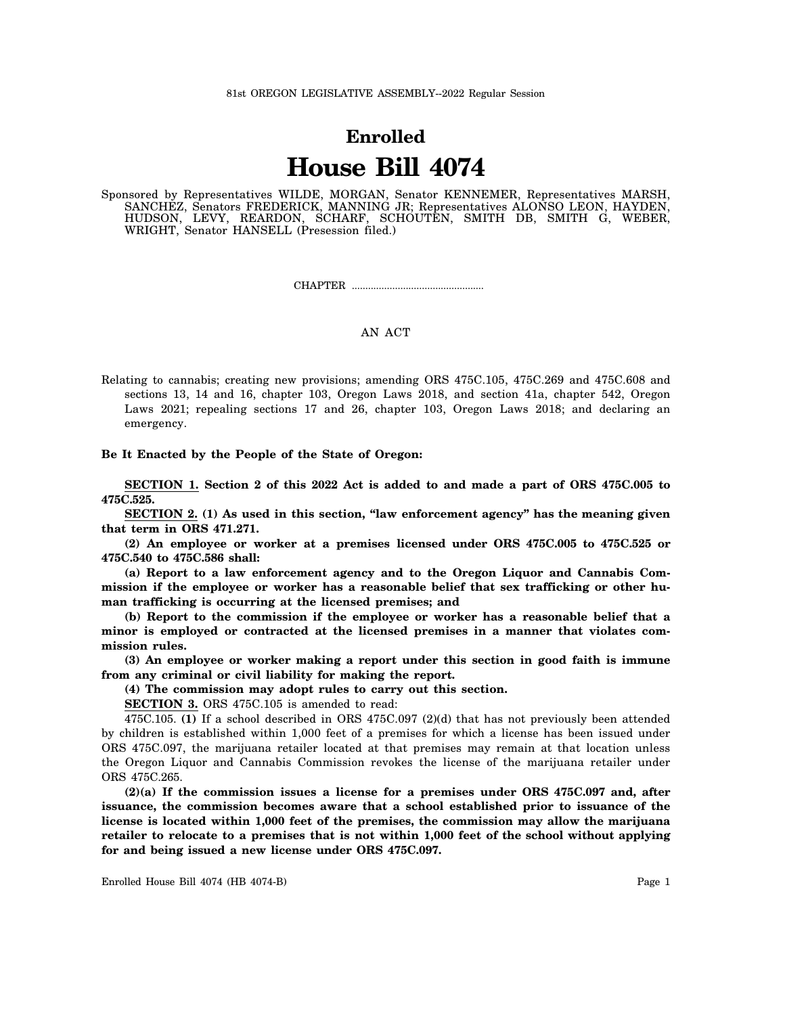## **Enrolled House Bill 4074**

Sponsored by Representatives WILDE, MORGAN, Senator KENNEMER, Representatives MARSH, SANCHEZ, Senators FREDERICK, MANNING JR; Representatives ALONSO LEON, HAYDEN, HUDSON, LEVY, REARDON, SCHARF, SCHOUTEN, SMITH DB, SMITH G, WEBER, WRIGHT, Senator HANSELL (Presession filed.)

CHAPTER .................................................

## AN ACT

Relating to cannabis; creating new provisions; amending ORS 475C.105, 475C.269 and 475C.608 and sections 13, 14 and 16, chapter 103, Oregon Laws 2018, and section 41a, chapter 542, Oregon Laws 2021; repealing sections 17 and 26, chapter 103, Oregon Laws 2018; and declaring an emergency.

## **Be It Enacted by the People of the State of Oregon:**

**SECTION 1. Section 2 of this 2022 Act is added to and made a part of ORS 475C.005 to 475C.525.**

**SECTION 2. (1) As used in this section, "law enforcement agency" has the meaning given that term in ORS 471.271.**

**(2) An employee or worker at a premises licensed under ORS 475C.005 to 475C.525 or 475C.540 to 475C.586 shall:**

**(a) Report to a law enforcement agency and to the Oregon Liquor and Cannabis Commission if the employee or worker has a reasonable belief that sex trafficking or other human trafficking is occurring at the licensed premises; and**

**(b) Report to the commission if the employee or worker has a reasonable belief that a minor is employed or contracted at the licensed premises in a manner that violates commission rules.**

**(3) An employee or worker making a report under this section in good faith is immune from any criminal or civil liability for making the report.**

**(4) The commission may adopt rules to carry out this section.**

**SECTION 3.** ORS 475C.105 is amended to read:

475C.105. **(1)** If a school described in ORS 475C.097 (2)(d) that has not previously been attended by children is established within 1,000 feet of a premises for which a license has been issued under ORS 475C.097, the marijuana retailer located at that premises may remain at that location unless the Oregon Liquor and Cannabis Commission revokes the license of the marijuana retailer under ORS 475C.265.

**(2)(a) If the commission issues a license for a premises under ORS 475C.097 and, after issuance, the commission becomes aware that a school established prior to issuance of the license is located within 1,000 feet of the premises, the commission may allow the marijuana retailer to relocate to a premises that is not within 1,000 feet of the school without applying for and being issued a new license under ORS 475C.097.**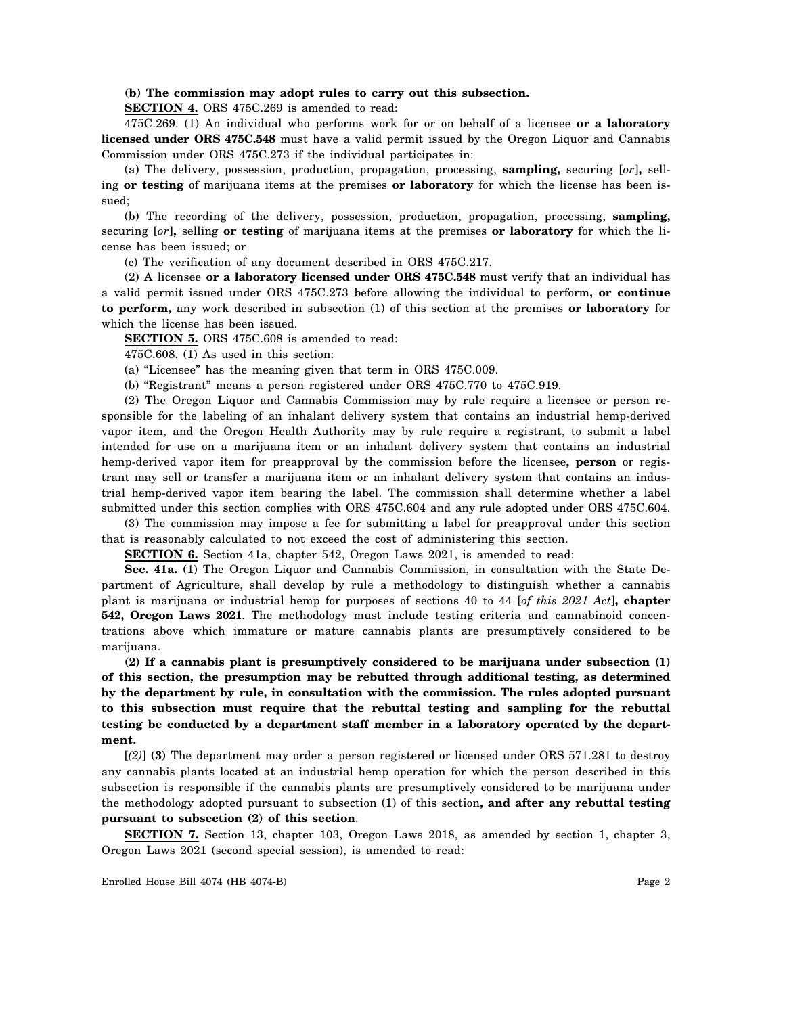## **(b) The commission may adopt rules to carry out this subsection.**

**SECTION 4.** ORS 475C.269 is amended to read:

475C.269. (1) An individual who performs work for or on behalf of a licensee **or a laboratory licensed under ORS 475C.548** must have a valid permit issued by the Oregon Liquor and Cannabis Commission under ORS 475C.273 if the individual participates in:

(a) The delivery, possession, production, propagation, processing, **sampling,** securing [*or*]**,** selling **or testing** of marijuana items at the premises **or laboratory** for which the license has been issued;

(b) The recording of the delivery, possession, production, propagation, processing, **sampling,** securing [*or*]**,** selling **or testing** of marijuana items at the premises **or laboratory** for which the license has been issued; or

(c) The verification of any document described in ORS 475C.217.

(2) A licensee **or a laboratory licensed under ORS 475C.548** must verify that an individual has a valid permit issued under ORS 475C.273 before allowing the individual to perform**, or continue to perform,** any work described in subsection (1) of this section at the premises **or laboratory** for which the license has been issued.

**SECTION 5.** ORS 475C.608 is amended to read:

475C.608. (1) As used in this section:

(a) "Licensee" has the meaning given that term in ORS 475C.009.

(b) "Registrant" means a person registered under ORS 475C.770 to 475C.919.

(2) The Oregon Liquor and Cannabis Commission may by rule require a licensee or person responsible for the labeling of an inhalant delivery system that contains an industrial hemp-derived vapor item, and the Oregon Health Authority may by rule require a registrant, to submit a label intended for use on a marijuana item or an inhalant delivery system that contains an industrial hemp-derived vapor item for preapproval by the commission before the licensee**, person** or registrant may sell or transfer a marijuana item or an inhalant delivery system that contains an industrial hemp-derived vapor item bearing the label. The commission shall determine whether a label submitted under this section complies with ORS 475C.604 and any rule adopted under ORS 475C.604.

(3) The commission may impose a fee for submitting a label for preapproval under this section that is reasonably calculated to not exceed the cost of administering this section.

**SECTION 6.** Section 41a, chapter 542, Oregon Laws 2021, is amended to read:

**Sec. 41a.** (1) The Oregon Liquor and Cannabis Commission, in consultation with the State Department of Agriculture, shall develop by rule a methodology to distinguish whether a cannabis plant is marijuana or industrial hemp for purposes of sections 40 to 44 [*of this 2021 Act*]**, chapter 542, Oregon Laws 2021**. The methodology must include testing criteria and cannabinoid concentrations above which immature or mature cannabis plants are presumptively considered to be marijuana.

**(2) If a cannabis plant is presumptively considered to be marijuana under subsection (1) of this section, the presumption may be rebutted through additional testing, as determined by the department by rule, in consultation with the commission. The rules adopted pursuant to this subsection must require that the rebuttal testing and sampling for the rebuttal testing be conducted by a department staff member in a laboratory operated by the department.**

[*(2)*] **(3)** The department may order a person registered or licensed under ORS 571.281 to destroy any cannabis plants located at an industrial hemp operation for which the person described in this subsection is responsible if the cannabis plants are presumptively considered to be marijuana under the methodology adopted pursuant to subsection (1) of this section**, and after any rebuttal testing pursuant to subsection (2) of this section**.

**SECTION 7.** Section 13, chapter 103, Oregon Laws 2018, as amended by section 1, chapter 3, Oregon Laws 2021 (second special session), is amended to read:

Enrolled House Bill 4074 (HB 4074-B) Page 2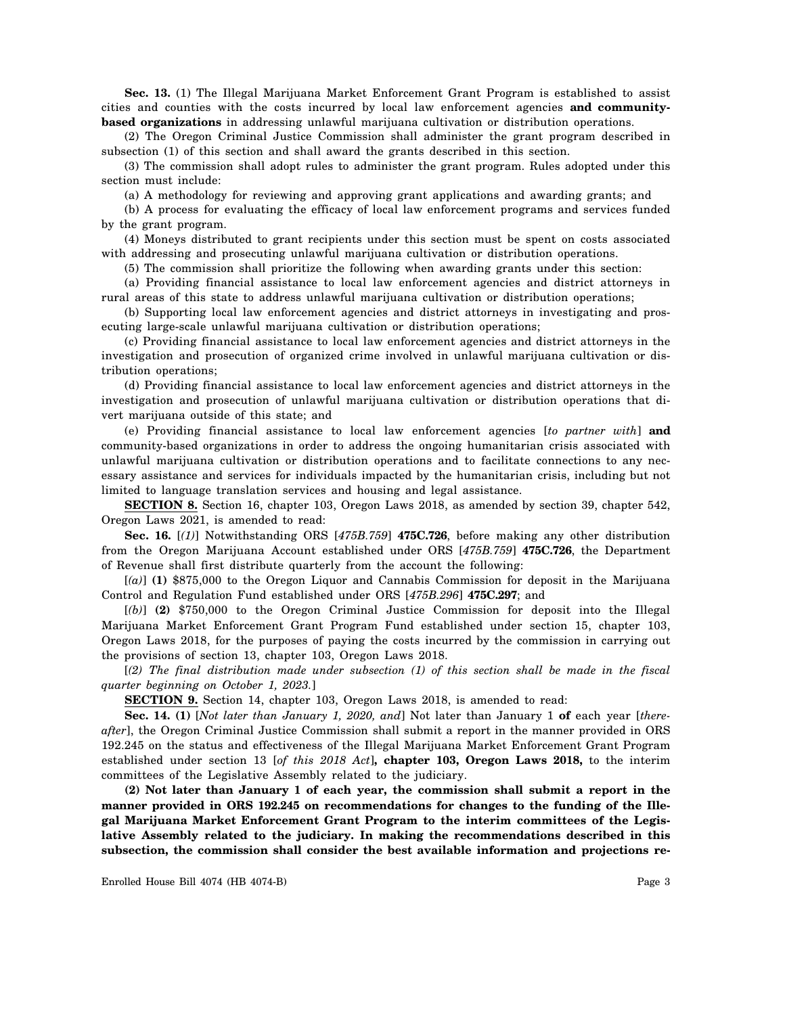**Sec. 13.** (1) The Illegal Marijuana Market Enforcement Grant Program is established to assist cities and counties with the costs incurred by local law enforcement agencies **and communitybased organizations** in addressing unlawful marijuana cultivation or distribution operations.

(2) The Oregon Criminal Justice Commission shall administer the grant program described in subsection (1) of this section and shall award the grants described in this section.

(3) The commission shall adopt rules to administer the grant program. Rules adopted under this section must include:

(a) A methodology for reviewing and approving grant applications and awarding grants; and

(b) A process for evaluating the efficacy of local law enforcement programs and services funded by the grant program.

(4) Moneys distributed to grant recipients under this section must be spent on costs associated with addressing and prosecuting unlawful marijuana cultivation or distribution operations.

(5) The commission shall prioritize the following when awarding grants under this section:

(a) Providing financial assistance to local law enforcement agencies and district attorneys in rural areas of this state to address unlawful marijuana cultivation or distribution operations;

(b) Supporting local law enforcement agencies and district attorneys in investigating and prosecuting large-scale unlawful marijuana cultivation or distribution operations;

(c) Providing financial assistance to local law enforcement agencies and district attorneys in the investigation and prosecution of organized crime involved in unlawful marijuana cultivation or distribution operations;

(d) Providing financial assistance to local law enforcement agencies and district attorneys in the investigation and prosecution of unlawful marijuana cultivation or distribution operations that divert marijuana outside of this state; and

(e) Providing financial assistance to local law enforcement agencies [*to partner with*] **and** community-based organizations in order to address the ongoing humanitarian crisis associated with unlawful marijuana cultivation or distribution operations and to facilitate connections to any necessary assistance and services for individuals impacted by the humanitarian crisis, including but not limited to language translation services and housing and legal assistance.

**SECTION 8.** Section 16, chapter 103, Oregon Laws 2018, as amended by section 39, chapter 542, Oregon Laws 2021, is amended to read:

**Sec. 16.** [*(1)*] Notwithstanding ORS [*475B.759*] **475C.726**, before making any other distribution from the Oregon Marijuana Account established under ORS [*475B.759*] **475C.726**, the Department of Revenue shall first distribute quarterly from the account the following:

[*(a)*] **(1)** \$875,000 to the Oregon Liquor and Cannabis Commission for deposit in the Marijuana Control and Regulation Fund established under ORS [*475B.296*] **475C.297**; and

[*(b)*] **(2)** \$750,000 to the Oregon Criminal Justice Commission for deposit into the Illegal Marijuana Market Enforcement Grant Program Fund established under section 15, chapter 103, Oregon Laws 2018, for the purposes of paying the costs incurred by the commission in carrying out the provisions of section 13, chapter 103, Oregon Laws 2018.

[*(2) The final distribution made under subsection (1) of this section shall be made in the fiscal quarter beginning on October 1, 2023.*]

**SECTION 9.** Section 14, chapter 103, Oregon Laws 2018, is amended to read:

**Sec. 14. (1)** [*Not later than January 1, 2020, and*] Not later than January 1 **of** each year [*thereafter*], the Oregon Criminal Justice Commission shall submit a report in the manner provided in ORS 192.245 on the status and effectiveness of the Illegal Marijuana Market Enforcement Grant Program established under section 13 [*of this 2018 Act*]**, chapter 103, Oregon Laws 2018,** to the interim committees of the Legislative Assembly related to the judiciary.

**(2) Not later than January 1 of each year, the commission shall submit a report in the manner provided in ORS 192.245 on recommendations for changes to the funding of the Illegal Marijuana Market Enforcement Grant Program to the interim committees of the Legislative Assembly related to the judiciary. In making the recommendations described in this subsection, the commission shall consider the best available information and projections re-**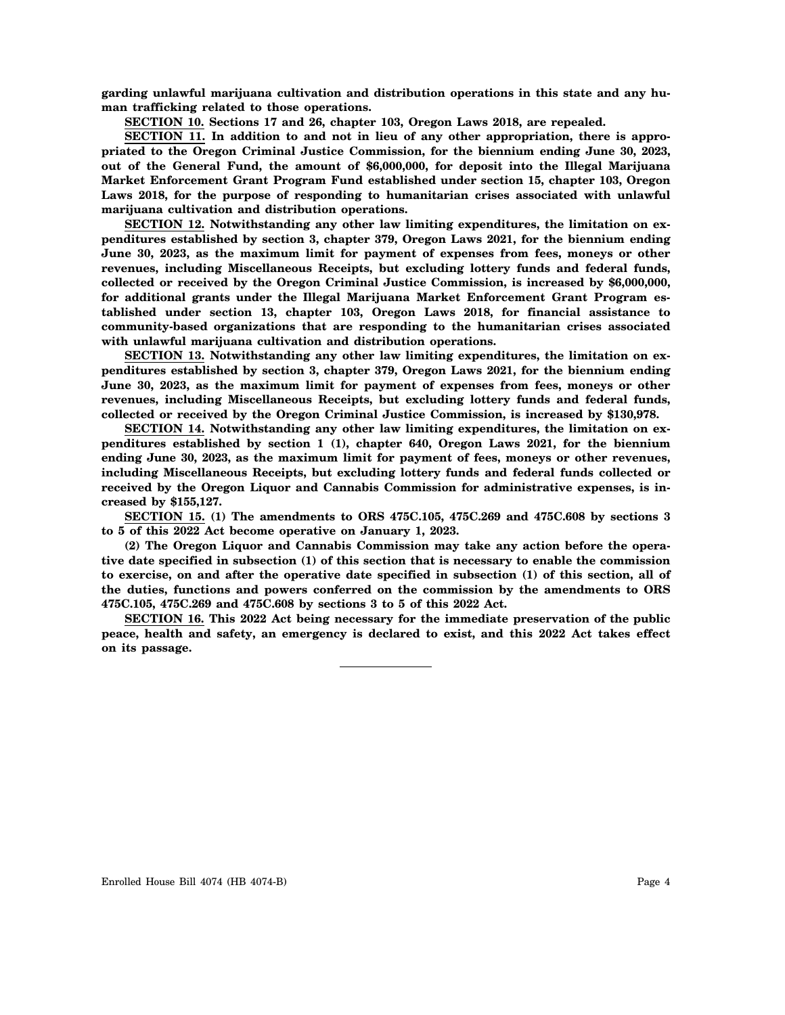**garding unlawful marijuana cultivation and distribution operations in this state and any human trafficking related to those operations.**

**SECTION 10. Sections 17 and 26, chapter 103, Oregon Laws 2018, are repealed.**

**SECTION 11. In addition to and not in lieu of any other appropriation, there is appropriated to the Oregon Criminal Justice Commission, for the biennium ending June 30, 2023, out of the General Fund, the amount of \$6,000,000, for deposit into the Illegal Marijuana Market Enforcement Grant Program Fund established under section 15, chapter 103, Oregon Laws 2018, for the purpose of responding to humanitarian crises associated with unlawful marijuana cultivation and distribution operations.**

**SECTION 12. Notwithstanding any other law limiting expenditures, the limitation on expenditures established by section 3, chapter 379, Oregon Laws 2021, for the biennium ending June 30, 2023, as the maximum limit for payment of expenses from fees, moneys or other revenues, including Miscellaneous Receipts, but excluding lottery funds and federal funds, collected or received by the Oregon Criminal Justice Commission, is increased by \$6,000,000, for additional grants under the Illegal Marijuana Market Enforcement Grant Program established under section 13, chapter 103, Oregon Laws 2018, for financial assistance to community-based organizations that are responding to the humanitarian crises associated with unlawful marijuana cultivation and distribution operations.**

**SECTION 13. Notwithstanding any other law limiting expenditures, the limitation on expenditures established by section 3, chapter 379, Oregon Laws 2021, for the biennium ending June 30, 2023, as the maximum limit for payment of expenses from fees, moneys or other revenues, including Miscellaneous Receipts, but excluding lottery funds and federal funds, collected or received by the Oregon Criminal Justice Commission, is increased by \$130,978.**

**SECTION 14. Notwithstanding any other law limiting expenditures, the limitation on expenditures established by section 1 (1), chapter 640, Oregon Laws 2021, for the biennium ending June 30, 2023, as the maximum limit for payment of fees, moneys or other revenues, including Miscellaneous Receipts, but excluding lottery funds and federal funds collected or received by the Oregon Liquor and Cannabis Commission for administrative expenses, is increased by \$155,127.**

**SECTION 15. (1) The amendments to ORS 475C.105, 475C.269 and 475C.608 by sections 3 to 5 of this 2022 Act become operative on January 1, 2023.**

**(2) The Oregon Liquor and Cannabis Commission may take any action before the operative date specified in subsection (1) of this section that is necessary to enable the commission to exercise, on and after the operative date specified in subsection (1) of this section, all of the duties, functions and powers conferred on the commission by the amendments to ORS 475C.105, 475C.269 and 475C.608 by sections 3 to 5 of this 2022 Act.**

**SECTION 16. This 2022 Act being necessary for the immediate preservation of the public peace, health and safety, an emergency is declared to exist, and this 2022 Act takes effect on its passage.**